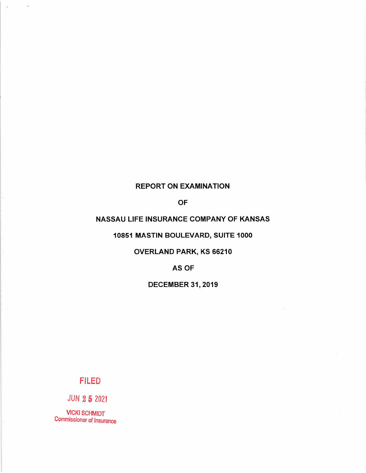# **REPORT ON EXAMINATION**

**OF** 

# NASSAU LIFE INSURANCE COMPANY OF KANSAS

# 10851 MASTIN BOULEVARD, SUITE 1000

# **OVERLAND PARK, KS 66210**

# AS OF

# **DECEMBER 31, 2019**

# **FILED**

**JUN 25 2021** 

 $\sim$ 

 $\bar{z}$ 

 $\bar{\gamma}$ 

**VICKI SCHMIDT Commissioner of Insurance**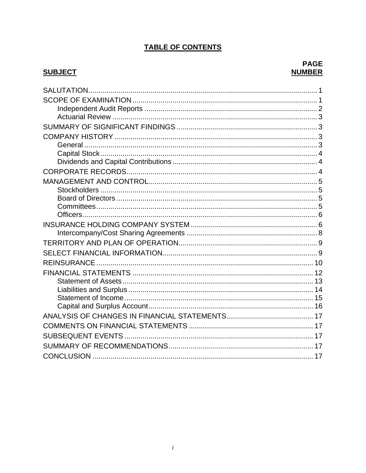# **TABLE OF CONTENTS**

# **SUBJECT**

# **PAGE NUMBER**

| <b>REINSURANCE</b> |  |
|--------------------|--|
|                    |  |
|                    |  |
|                    |  |
|                    |  |
|                    |  |
|                    |  |
|                    |  |
|                    |  |
|                    |  |
|                    |  |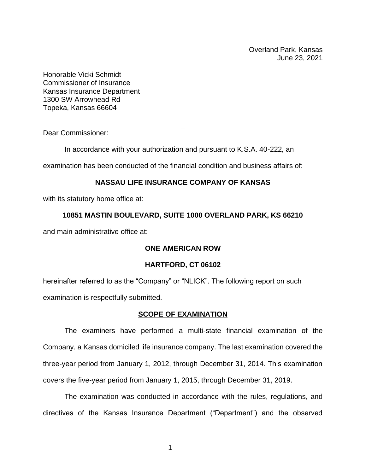Overland Park, Kansas June 23, 2021

Honorable Vicki Schmidt Commissioner of Insurance Kansas Insurance Department 1300 SW Arrowhead Rd Topeka, Kansas 66604

<span id="page-2-0"></span>Dear Commissioner:

In accordance with your authorization and pursuant to K.S.A. 40-222*,* an

examination has been conducted of the financial condition and business affairs of:

### **NASSAU LIFE INSURANCE COMPANY OF KANSAS**

with its statutory home office at:

### **10851 MASTIN BOULEVARD, SUITE 1000 OVERLAND PARK, KS 66210**

and main administrative office at:

### **ONE AMERICAN ROW**

### **HARTFORD, CT 06102**

hereinafter referred to as the "Company" or "NLICK". The following report on such examination is respectfully submitted.

### **SCOPE OF EXAMINATION**

<span id="page-2-1"></span>The examiners have performed a multi-state financial examination of the Company, a Kansas domiciled life insurance company. The last examination covered the three-year period from January 1, 2012, through December 31, 2014. This examination covers the five-year period from January 1, 2015, through December 31, 2019.

The examination was conducted in accordance with the rules, regulations, and directives of the Kansas Insurance Department ("Department") and the observed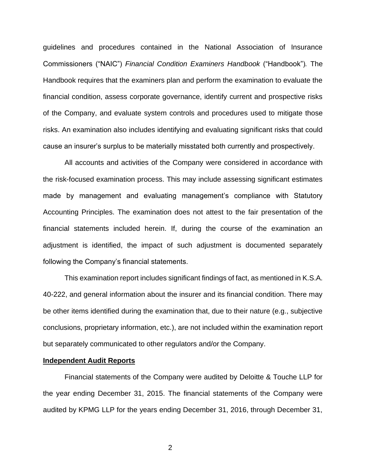guidelines and procedures contained in the National Association of Insurance Commissioners ("NAIC") *Financial Condition Examiners Handbook* ("Handbook")*.* The Handbook requires that the examiners plan and perform the examination to evaluate the financial condition, assess corporate governance, identify current and prospective risks of the Company, and evaluate system controls and procedures used to mitigate those risks. An examination also includes identifying and evaluating significant risks that could cause an insurer's surplus to be materially misstated both currently and prospectively.

All accounts and activities of the Company were considered in accordance with the risk-focused examination process. This may include assessing significant estimates made by management and evaluating management's compliance with Statutory Accounting Principles. The examination does not attest to the fair presentation of the financial statements included herein. If, during the course of the examination an adjustment is identified, the impact of such adjustment is documented separately following the Company's financial statements.

This examination report includes significant findings of fact, as mentioned in K.S.A. 40-222, and general information about the insurer and its financial condition. There may be other items identified during the examination that, due to their nature (e.g., subjective conclusions, proprietary information, etc.), are not included within the examination report but separately communicated to other regulators and/or the Company.

#### <span id="page-3-0"></span>**Independent Audit Reports**

Financial statements of the Company were audited by Deloitte & Touche LLP for the year ending December 31, 2015. The financial statements of the Company were audited by KPMG LLP for the years ending December 31, 2016, through December 31,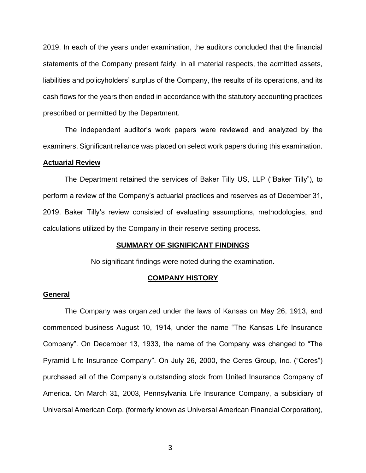2019. In each of the years under examination, the auditors concluded that the financial statements of the Company present fairly, in all material respects, the admitted assets, liabilities and policyholders' surplus of the Company, the results of its operations, and its cash flows for the years then ended in accordance with the statutory accounting practices prescribed or permitted by the Department.

The independent auditor's work papers were reviewed and analyzed by the examiners. Significant reliance was placed on select work papers during this examination.

#### <span id="page-4-0"></span>**Actuarial Review**

The Department retained the services of Baker Tilly US, LLP ("Baker Tilly"), to perform a review of the Company's actuarial practices and reserves as of December 31, 2019. Baker Tilly's review consisted of evaluating assumptions, methodologies, and calculations utilized by the Company in their reserve setting process.

#### **SUMMARY OF SIGNIFICANT FINDINGS**

No significant findings were noted during the examination.

### **COMPANY HISTORY**

#### <span id="page-4-3"></span><span id="page-4-2"></span><span id="page-4-1"></span>**General**

The Company was organized under the laws of Kansas on May 26, 1913, and commenced business August 10, 1914, under the name "The Kansas Life Insurance Company". On December 13, 1933, the name of the Company was changed to "The Pyramid Life Insurance Company". On July 26, 2000, the Ceres Group, Inc. ("Ceres") purchased all of the Company's outstanding stock from United Insurance Company of America. On March 31, 2003, Pennsylvania Life Insurance Company, a subsidiary of Universal American Corp. (formerly known as Universal American Financial Corporation),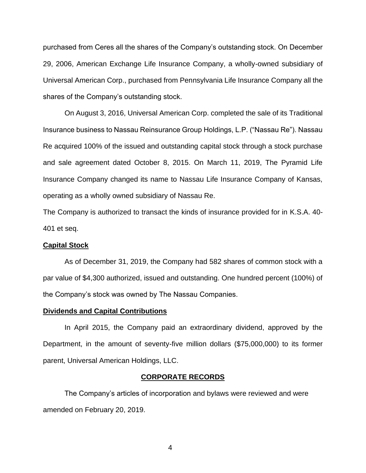purchased from Ceres all the shares of the Company's outstanding stock. On December 29, 2006, American Exchange Life Insurance Company, a wholly-owned subsidiary of Universal American Corp., purchased from Pennsylvania Life Insurance Company all the shares of the Company's outstanding stock.

On August 3, 2016, Universal American Corp. completed the sale of its Traditional Insurance business to Nassau Reinsurance Group Holdings, L.P. ("Nassau Re"). Nassau Re acquired 100% of the issued and outstanding capital stock through a stock purchase and sale agreement dated October 8, 2015. On March 11, 2019, The Pyramid Life Insurance Company changed its name to Nassau Life Insurance Company of Kansas, operating as a wholly owned subsidiary of Nassau Re.

The Company is authorized to transact the kinds of insurance provided for in K.S.A. 40- 401 et seq.

### <span id="page-5-0"></span>**Capital Stock**

As of December 31, 2019, the Company had 582 shares of common stock with a par value of \$4,300 authorized, issued and outstanding. One hundred percent (100%) of the Company's stock was owned by The Nassau Companies.

#### <span id="page-5-1"></span>**Dividends and Capital Contributions**

In April 2015, the Company paid an extraordinary dividend, approved by the Department, in the amount of seventy-five million dollars (\$75,000,000) to its former parent, Universal American Holdings, LLC.

#### **CORPORATE RECORDS**

<span id="page-5-2"></span>The Company's articles of incorporation and bylaws were reviewed and were amended on February 20, 2019.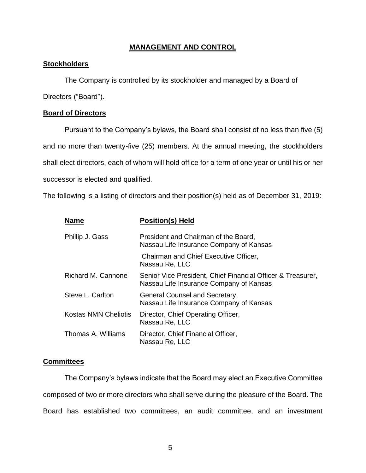### **MANAGEMENT AND CONTROL**

### <span id="page-6-1"></span><span id="page-6-0"></span>**Stockholders**

The Company is controlled by its stockholder and managed by a Board of

Directors ("Board").

### <span id="page-6-2"></span>**Board of Directors**

Pursuant to the Company's bylaws, the Board shall consist of no less than five (5) and no more than twenty-five (25) members. At the annual meeting, the stockholders shall elect directors, each of whom will hold office for a term of one year or until his or her successor is elected and qualified.

The following is a listing of directors and their position(s) held as of December 31, 2019:

| <b>Name</b>                 | <b>Position(s) Held</b>                                                                                |
|-----------------------------|--------------------------------------------------------------------------------------------------------|
| Phillip J. Gass             | President and Chairman of the Board,<br>Nassau Life Insurance Company of Kansas                        |
|                             | Chairman and Chief Executive Officer,<br>Nassau Re, LLC                                                |
| <b>Richard M. Cannone</b>   | Senior Vice President, Chief Financial Officer & Treasurer,<br>Nassau Life Insurance Company of Kansas |
| Steve L. Carlton            | General Counsel and Secretary,<br>Nassau Life Insurance Company of Kansas                              |
| <b>Kostas NMN Cheliotis</b> | Director, Chief Operating Officer,<br>Nassau Re, LLC                                                   |
| Thomas A. Williams          | Director, Chief Financial Officer,<br>Nassau Re, LLC                                                   |

### <span id="page-6-3"></span>**Committees**

The Company's bylaws indicate that the Board may elect an Executive Committee composed of two or more directors who shall serve during the pleasure of the Board. The Board has established two committees, an audit committee, and an investment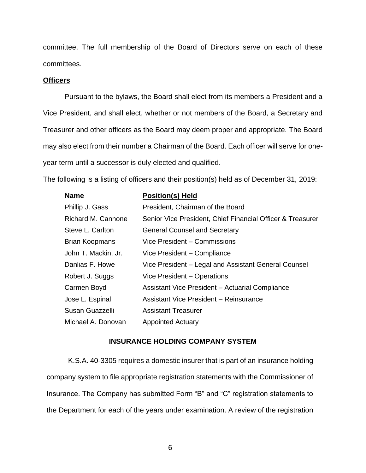committee. The full membership of the Board of Directors serve on each of these committees.

#### <span id="page-7-0"></span>**Officers**

Pursuant to the bylaws, the Board shall elect from its members a President and a Vice President, and shall elect, whether or not members of the Board, a Secretary and Treasurer and other officers as the Board may deem proper and appropriate. The Board may also elect from their number a Chairman of the Board. Each officer will serve for oneyear term until a successor is duly elected and qualified.

The following is a listing of officers and their position(s) held as of December 31, 2019:

| <b>Name</b>               | <b>Position(s) Held</b>                                    |
|---------------------------|------------------------------------------------------------|
| Phillip J. Gass           | President, Chairman of the Board                           |
| <b>Richard M. Cannone</b> | Senior Vice President, Chief Financial Officer & Treasurer |
| Steve L. Carlton          | <b>General Counsel and Secretary</b>                       |
| <b>Brian Koopmans</b>     | Vice President - Commissions                               |
| John T. Mackin, Jr.       | Vice President - Compliance                                |
| Danlias F. Howe           | Vice President – Legal and Assistant General Counsel       |
| Robert J. Suggs           | Vice President – Operations                                |
| Carmen Boyd               | Assistant Vice President – Actuarial Compliance            |
| Jose L. Espinal           | <b>Assistant Vice President - Reinsurance</b>              |
| Susan Guazzelli           | <b>Assistant Treasurer</b>                                 |
| Michael A. Donovan        | <b>Appointed Actuary</b>                                   |

### **INSURANCE HOLDING COMPANY SYSTEM**

<span id="page-7-1"></span>K.S.A. 40-3305 requires a domestic insurer that is part of an insurance holding company system to file appropriate registration statements with the Commissioner of Insurance. The Company has submitted Form "B" and "C" registration statements to the Department for each of the years under examination. A review of the registration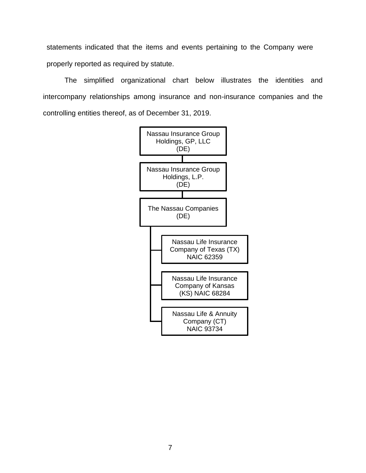statements indicated that the items and events pertaining to the Company were properly reported as required by statute.

The simplified organizational chart below illustrates the identities and intercompany relationships among insurance and non-insurance companies and the controlling entities thereof, as of December 31, 2019.

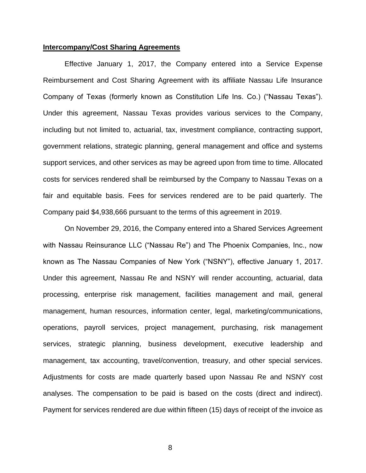### <span id="page-9-0"></span>**Intercompany/Cost Sharing Agreements**

Effective January 1, 2017, the Company entered into a Service Expense Reimbursement and Cost Sharing Agreement with its affiliate Nassau Life Insurance Company of Texas (formerly known as Constitution Life Ins. Co.) ("Nassau Texas"). Under this agreement, Nassau Texas provides various services to the Company, including but not limited to, actuarial, tax, investment compliance, contracting support, government relations, strategic planning, general management and office and systems support services, and other services as may be agreed upon from time to time. Allocated costs for services rendered shall be reimbursed by the Company to Nassau Texas on a fair and equitable basis. Fees for services rendered are to be paid quarterly. The Company paid \$4,938,666 pursuant to the terms of this agreement in 2019.

On November 29, 2016, the Company entered into a Shared Services Agreement with Nassau Reinsurance LLC ("Nassau Re") and The Phoenix Companies, Inc., now known as The Nassau Companies of New York ("NSNY"), effective January 1, 2017. Under this agreement, Nassau Re and NSNY will render accounting, actuarial, data processing, enterprise risk management, facilities management and mail, general management, human resources, information center, legal, marketing/communications, operations, payroll services, project management, purchasing, risk management services, strategic planning, business development, executive leadership and management, tax accounting, travel/convention, treasury, and other special services. Adjustments for costs are made quarterly based upon Nassau Re and NSNY cost analyses. The compensation to be paid is based on the costs (direct and indirect). Payment for services rendered are due within fifteen (15) days of receipt of the invoice as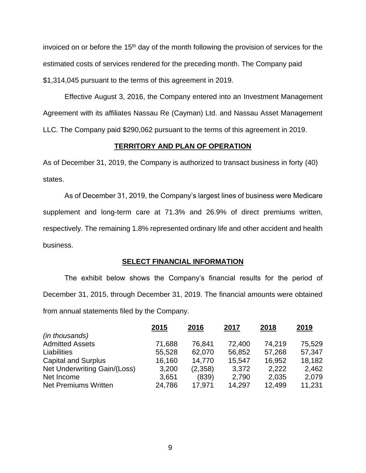invoiced on or before the 15th day of the month following the provision of services for the estimated costs of services rendered for the preceding month. The Company paid \$1,314,045 pursuant to the terms of this agreement in 2019.

Effective August 3, 2016, the Company entered into an Investment Management Agreement with its affiliates Nassau Re (Cayman) Ltd. and Nassau Asset Management LLC. The Company paid \$290,062 pursuant to the terms of this agreement in 2019.

## **TERRITORY AND PLAN OF OPERATION**

<span id="page-10-0"></span>As of December 31, 2019, the Company is authorized to transact business in forty (40) states.

As of December 31, 2019, the Company's largest lines of business were Medicare supplement and long-term care at 71.3% and 26.9% of direct premiums written, respectively. The remaining 1.8% represented ordinary life and other accident and health business.

### **SELECT FINANCIAL INFORMATION**

<span id="page-10-1"></span>The exhibit below shows the Company's financial results for the period of December 31, 2015, through December 31, 2019. The financial amounts were obtained from annual statements filed by the Company.

|                              | 2015   | 2016    | 2017   | 2018   | 2019   |
|------------------------------|--------|---------|--------|--------|--------|
| (in thousands)               |        |         |        |        |        |
| <b>Admitted Assets</b>       | 71,688 | 76,841  | 72,400 | 74,219 | 75,529 |
| Liabilities                  | 55,528 | 62,070  | 56,852 | 57,268 | 57,347 |
| <b>Capital and Surplus</b>   | 16,160 | 14,770  | 15,547 | 16,952 | 18,182 |
| Net Underwriting Gain/(Loss) | 3,200  | (2,358) | 3,372  | 2,222  | 2,462  |
| Net Income                   | 3,651  | (839)   | 2,790  | 2,035  | 2,079  |
| <b>Net Premiums Written</b>  | 24,786 | 17,971  | 14,297 | 12,499 | 11,231 |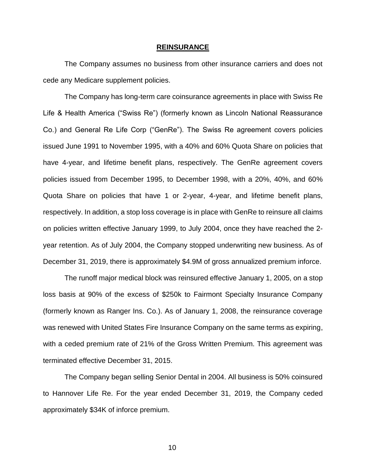#### **REINSURANCE**

<span id="page-11-0"></span>The Company assumes no business from other insurance carriers and does not cede any Medicare supplement policies.

The Company has long-term care coinsurance agreements in place with Swiss Re Life & Health America ("Swiss Re") (formerly known as Lincoln National Reassurance Co.) and General Re Life Corp ("GenRe"). The Swiss Re agreement covers policies issued June 1991 to November 1995, with a 40% and 60% Quota Share on policies that have 4-year, and lifetime benefit plans, respectively. The GenRe agreement covers policies issued from December 1995, to December 1998, with a 20%, 40%, and 60% Quota Share on policies that have 1 or 2-year, 4-year, and lifetime benefit plans, respectively. In addition, a stop loss coverage is in place with GenRe to reinsure all claims on policies written effective January 1999, to July 2004, once they have reached the 2 year retention. As of July 2004, the Company stopped underwriting new business. As of December 31, 2019, there is approximately \$4.9M of gross annualized premium inforce.

The runoff major medical block was reinsured effective January 1, 2005, on a stop loss basis at 90% of the excess of \$250k to Fairmont Specialty Insurance Company (formerly known as Ranger Ins. Co.). As of January 1, 2008, the reinsurance coverage was renewed with United States Fire Insurance Company on the same terms as expiring, with a ceded premium rate of 21% of the Gross Written Premium. This agreement was terminated effective December 31, 2015.

The Company began selling Senior Dental in 2004. All business is 50% coinsured to Hannover Life Re. For the year ended December 31, 2019, the Company ceded approximately \$34K of inforce premium.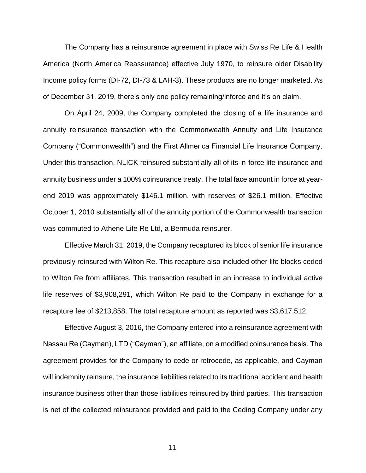The Company has a reinsurance agreement in place with Swiss Re Life & Health America (North America Reassurance) effective July 1970, to reinsure older Disability Income policy forms (DI-72, DI-73 & LAH-3). These products are no longer marketed. As of December 31, 2019, there's only one policy remaining/inforce and it's on claim.

On April 24, 2009, the Company completed the closing of a life insurance and annuity reinsurance transaction with the Commonwealth Annuity and Life Insurance Company ("Commonwealth") and the First Allmerica Financial Life Insurance Company. Under this transaction, NLICK reinsured substantially all of its in-force life insurance and annuity business under a 100% coinsurance treaty. The total face amount in force at yearend 2019 was approximately \$146.1 million, with reserves of \$26.1 million. Effective October 1, 2010 substantially all of the annuity portion of the Commonwealth transaction was commuted to Athene Life Re Ltd, a Bermuda reinsurer.

Effective March 31, 2019, the Company recaptured its block of senior life insurance previously reinsured with Wilton Re. This recapture also included other life blocks ceded to Wilton Re from affiliates. This transaction resulted in an increase to individual active life reserves of \$3,908,291, which Wilton Re paid to the Company in exchange for a recapture fee of \$213,858. The total recapture amount as reported was \$3,617,512.

Effective August 3, 2016, the Company entered into a reinsurance agreement with Nassau Re (Cayman), LTD ("Cayman"), an affiliate, on a modified coinsurance basis. The agreement provides for the Company to cede or retrocede, as applicable, and Cayman will indemnity reinsure, the insurance liabilities related to its traditional accident and health insurance business other than those liabilities reinsured by third parties. This transaction is net of the collected reinsurance provided and paid to the Ceding Company under any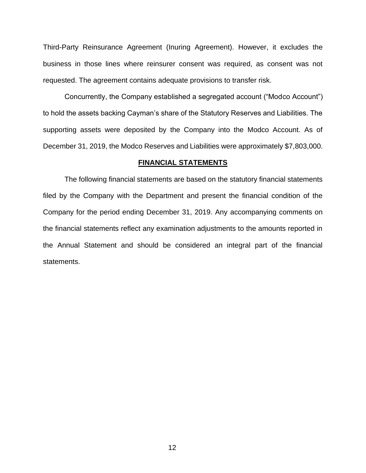Third-Party Reinsurance Agreement (Inuring Agreement). However, it excludes the business in those lines where reinsurer consent was required, as consent was not requested. The agreement contains adequate provisions to transfer risk.

Concurrently, the Company established a segregated account ("Modco Account") to hold the assets backing Cayman's share of the Statutory Reserves and Liabilities. The supporting assets were deposited by the Company into the Modco Account. As of December 31, 2019, the Modco Reserves and Liabilities were approximately \$7,803,000.

#### **FINANCIAL STATEMENTS**

<span id="page-13-0"></span>The following financial statements are based on the statutory financial statements filed by the Company with the Department and present the financial condition of the Company for the period ending December 31, 2019. Any accompanying comments on the financial statements reflect any examination adjustments to the amounts reported in the Annual Statement and should be considered an integral part of the financial statements.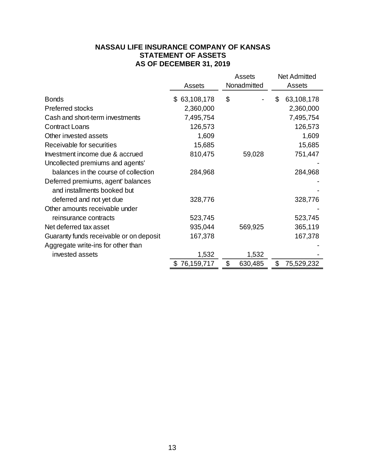# **NASSAU LIFE INSURANCE COMPANY OF KANSAS STATEMENT OF ASSETS AS OF DECEMBER 31, 2019**

<span id="page-14-0"></span>

|                                         | Assets<br>Nonadmitted |               | <b>Net Admitted</b><br>Assets |  |
|-----------------------------------------|-----------------------|---------------|-------------------------------|--|
|                                         | Assets                |               |                               |  |
| <b>Bonds</b>                            | \$63,108,178          | \$            | \$<br>63,108,178              |  |
| Preferred stocks                        | 2,360,000             |               | 2,360,000                     |  |
| Cash and short-term investments         | 7,495,754             |               | 7,495,754                     |  |
| <b>Contract Loans</b>                   | 126,573               |               | 126,573                       |  |
| Other invested assets                   | 1,609                 |               | 1,609                         |  |
| Receivable for securities               | 15,685                |               | 15,685                        |  |
| Investment income due & accrued         | 810,475               | 59,028        | 751,447                       |  |
| Uncollected premiums and agents'        |                       |               |                               |  |
| balances in the course of collection    | 284,968               |               | 284,968                       |  |
| Deferred premiums, agent' balances      |                       |               |                               |  |
| and installments booked but             |                       |               |                               |  |
| deferred and not yet due                | 328,776               |               | 328,776                       |  |
| Other amounts receivable under          |                       |               |                               |  |
| reinsurance contracts                   | 523,745               |               | 523,745                       |  |
| Net deferred tax asset                  | 935,044               | 569,925       | 365,119                       |  |
| Guaranty funds receivable or on deposit | 167,378               |               | 167,378                       |  |
| Aggregate write-ins for other than      |                       |               |                               |  |
| invested assets                         | 1,532                 | 1,532         |                               |  |
|                                         | 76,159,717            | \$<br>630,485 | \$<br>75,529,232              |  |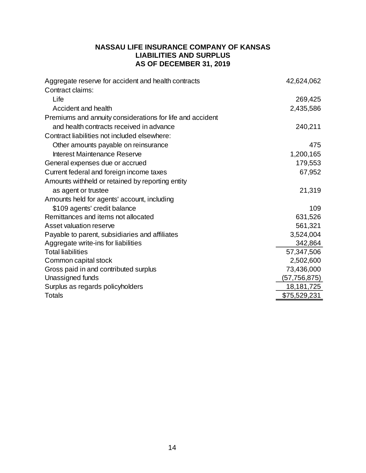# **NASSAU LIFE INSURANCE COMPANY OF KANSAS LIABILITIES AND SURPLUS AS OF DECEMBER 31, 2019**

<span id="page-15-0"></span>

| Aggregate reserve for accident and health contracts       | 42,624,062   |
|-----------------------------------------------------------|--------------|
| Contract claims:                                          |              |
| Life                                                      | 269,425      |
| Accident and health                                       | 2,435,586    |
| Premiums and annuity considerations for life and accident |              |
| and health contracts received in advance                  | 240,211      |
| Contract liabilities not included elsewhere:              |              |
| Other amounts payable on reinsurance                      | 475          |
| Interest Maintenance Reserve                              | 1,200,165    |
| General expenses due or accrued                           | 179,553      |
| Current federal and foreign income taxes                  | 67,952       |
| Amounts withheld or retained by reporting entity          |              |
| as agent or trustee                                       | 21,319       |
| Amounts held for agents' account, including               |              |
| \$109 agents' credit balance                              | 109          |
| Remittances and items not allocated                       | 631,526      |
| Asset valuation reserve                                   | 561,321      |
| Payable to parent, subsidiaries and affiliates            | 3,524,004    |
| Aggregate write-ins for liabilities                       | 342,864      |
| <b>Total liabilities</b>                                  | 57,347,506   |
| Common capital stock                                      | 2,502,600    |
| Gross paid in and contributed surplus                     | 73,436,000   |
| Unassigned funds                                          | (57,756,875) |
| Surplus as regards policyholders                          | 18,181,725   |
| <b>Totals</b>                                             | \$75,529,231 |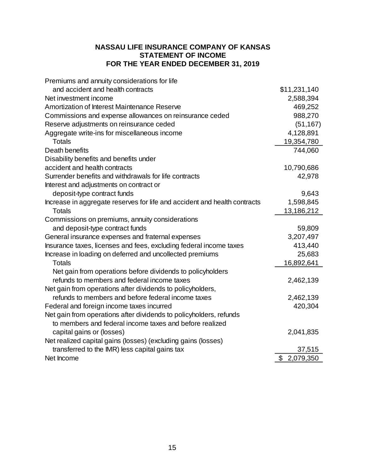# **NASSAU LIFE INSURANCE COMPANY OF KANSAS STATEMENT OF INCOME FOR THE YEAR ENDED DECEMBER 31, 2019**

<span id="page-16-0"></span>

| Premiums and annuity considerations for life                              |                 |
|---------------------------------------------------------------------------|-----------------|
| and accident and health contracts                                         | \$11,231,140    |
| Net investment income                                                     | 2,588,394       |
| Amortization of Interest Maintenance Reserve                              | 469,252         |
| Commissions and expense allowances on reinsurance ceded                   | 988,270         |
| Reserve adjustments on reinsurance ceded                                  | (51, 167)       |
| Aggregate write-ins for miscellaneous income                              | 4,128,891       |
| <b>Totals</b>                                                             | 19,354,780      |
| Death benefits                                                            | 744,060         |
| Disability benefits and benefits under                                    |                 |
| accident and health contracts                                             | 10,790,686      |
| Surrender benefits and withdrawals for life contracts                     | 42,978          |
| Interest and adjustments on contract or                                   |                 |
| deposit-type contract funds                                               | 9,643           |
| Increase in aggregate reserves for life and accident and health contracts | 1,598,845       |
| <b>Totals</b>                                                             | 13,186,212      |
| Commissions on premiums, annuity considerations                           |                 |
| and deposit-type contract funds                                           | 59,809          |
| General insurance expenses and fraternal expenses                         | 3,207,497       |
| Insurance taxes, licenses and fees, excluding federal income taxes        | 413,440         |
| Increase in loading on deferred and uncollected premiums                  | 25,683          |
| <b>Totals</b>                                                             | 16,892,641      |
| Net gain from operations before dividends to policyholders                |                 |
| refunds to members and federal income taxes                               | 2,462,139       |
| Net gain from operations after dividends to policyholders,                |                 |
| refunds to members and before federal income taxes                        | 2,462,139       |
| Federal and foreign income taxes incurred                                 | 420,304         |
| Net gain from operations after dividends to policyholders, refunds        |                 |
| to members and federal income taxes and before realized                   |                 |
| capital gains or (losses)                                                 | 2,041,835       |
| Net realized capital gains (losses) (excluding gains (losses)             |                 |
| transferred to the IMR) less capital gains tax                            | 37,515          |
| Net Income                                                                | 2,079,350<br>\$ |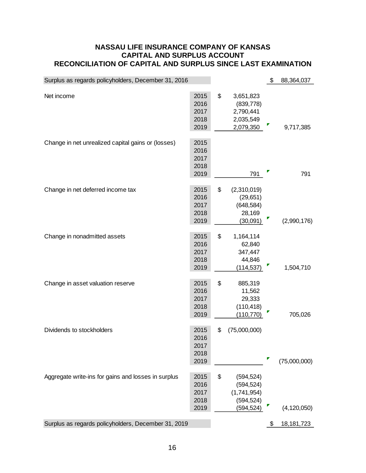## <span id="page-17-0"></span>**NASSAU LIFE INSURANCE COMPANY OF KANSAS CAPITAL AND SURPLUS ACCOUNT RECONCILIATION OF CAPITAL AND SURPLUS SINCE LAST EXAMINATION**

| Surplus as regards policyholders, December 31, 2016 |                                      |                                                                           | \$ | 88,364,037    |
|-----------------------------------------------------|--------------------------------------|---------------------------------------------------------------------------|----|---------------|
| Net income                                          | 2015<br>2016<br>2017<br>2018<br>2019 | \$<br>3,651,823<br>(839, 778)<br>2,790,441<br>2,035,549<br>2,079,350      |    | 9,717,385     |
| Change in net unrealized capital gains or (losses)  | 2015<br>2016<br>2017<br>2018<br>2019 | 791                                                                       |    | 791           |
| Change in net deferred income tax                   | 2015<br>2016<br>2017<br>2018<br>2019 | \$<br>(2,310,019)<br>(29, 651)<br>(648, 584)<br>28,169<br>(30,091)        |    | (2,990,176)   |
| Change in nonadmitted assets                        | 2015<br>2016<br>2017<br>2018<br>2019 | \$<br>1,164,114<br>62,840<br>347,447<br>44,846<br>(114, 537)              |    | 1,504,710     |
| Change in asset valuation reserve                   | 2015<br>2016<br>2017<br>2018<br>2019 | \$<br>885,319<br>11,562<br>29,333<br>(110, 418)<br>(110, 770)             |    | 705,026       |
| Dividends to stockholders                           | 2015<br>2016<br>2017<br>2018<br>2019 | \$<br>(75,000,000)                                                        | ۳  | (75,000,000)  |
| Aggregate write-ins for gains and losses in surplus | 2015<br>2016<br>2017<br>2018<br>2019 | \$<br>(594, 524)<br>(594, 524)<br>(1,741,954)<br>(594, 524)<br>(594, 524) |    | (4, 120, 050) |
| Surplus as regards policyholders, December 31, 2019 |                                      |                                                                           | \$ | 18, 181, 723  |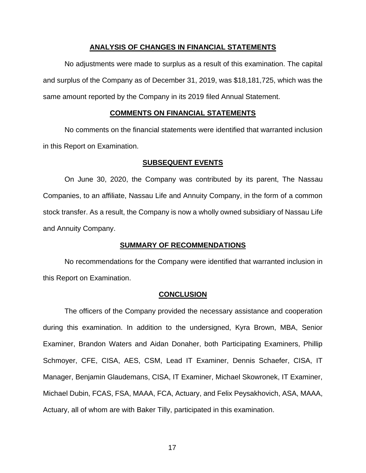### **ANALYSIS OF CHANGES IN FINANCIAL STATEMENTS**

<span id="page-18-0"></span>No adjustments were made to surplus as a result of this examination. The capital and surplus of the Company as of December 31, 2019, was \$18,181,725, which was the same amount reported by the Company in its 2019 filed Annual Statement.

### **COMMENTS ON FINANCIAL STATEMENTS**

<span id="page-18-1"></span>No comments on the financial statements were identified that warranted inclusion in this Report on Examination.

### **SUBSEQUENT EVENTS**

<span id="page-18-2"></span>On June 30, 2020, the Company was contributed by its parent, The Nassau Companies, to an affiliate, Nassau Life and Annuity Company, in the form of a common stock transfer. As a result, the Company is now a wholly owned subsidiary of Nassau Life and Annuity Company.

### **SUMMARY OF RECOMMENDATIONS**

<span id="page-18-3"></span>No recommendations for the Company were identified that warranted inclusion in this Report on Examination.

### **CONCLUSION**

<span id="page-18-4"></span>The officers of the Company provided the necessary assistance and cooperation during this examination. In addition to the undersigned, Kyra Brown, MBA, Senior Examiner, Brandon Waters and Aidan Donaher, both Participating Examiners, Phillip Schmoyer, CFE, CISA, AES, CSM, Lead IT Examiner, Dennis Schaefer, CISA, IT Manager, Benjamin Glaudemans, CISA, IT Examiner, Michael Skowronek, IT Examiner, Michael Dubin, FCAS, FSA, MAAA, FCA, Actuary, and Felix Peysakhovich, ASA, MAAA, Actuary, all of whom are with Baker Tilly, participated in this examination.